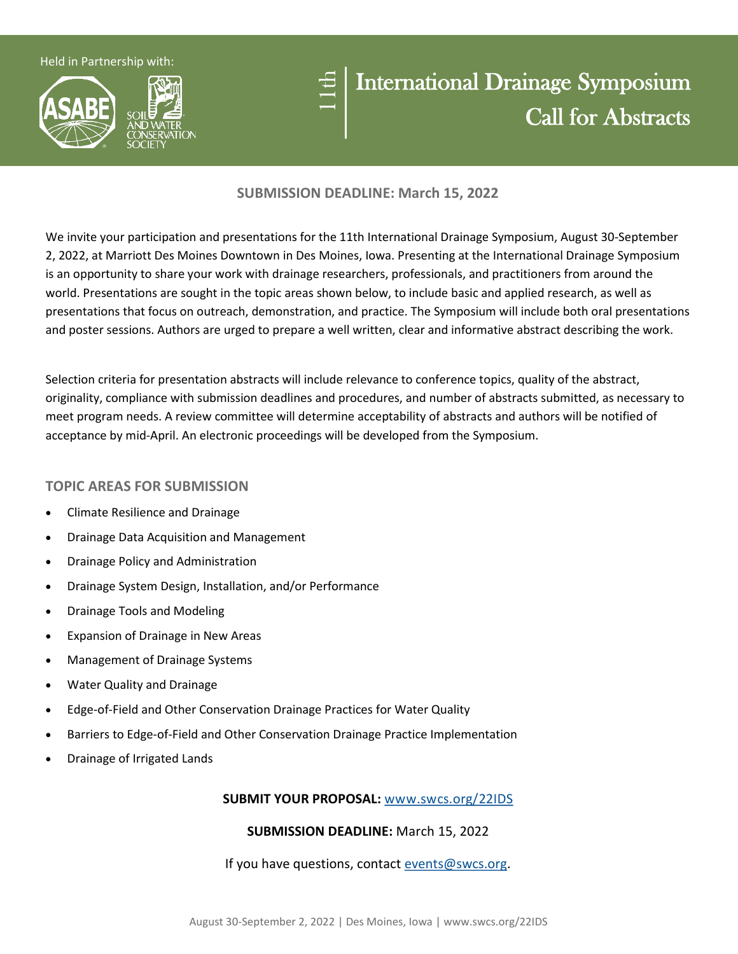Held in Partnership with:



# 11th

# International Drainage Symposium Call for Abstracts

## **SUBMISSION DEADLINE: March 15, 2022**

We invite your participation and presentations for the 11th International Drainage Symposium, August 30-September 2, 2022, at Marriott Des Moines Downtown in Des Moines, Iowa. Presenting at the International Drainage Symposium is an opportunity to share your work with drainage researchers, professionals, and practitioners from around the world. Presentations are sought in the topic areas shown below, to include basic and applied research, as well as presentations that focus on outreach, demonstration, and practice. The Symposium will include both oral presentations and poster sessions. Authors are urged to prepare a well written, clear and informative abstract describing the work.

Selection criteria for presentation abstracts will include relevance to conference topics, quality of the abstract, originality, compliance with submission deadlines and procedures, and number of abstracts submitted, as necessary to meet program needs. A review committee will determine acceptability of abstracts and authors will be notified of acceptance by mid-April. An electronic proceedings will be developed from the Symposium.

# **TOPIC AREAS FOR SUBMISSION**

- Climate Resilience and Drainage
- Drainage Data Acquisition and Management
- Drainage Policy and Administration
- Drainage System Design, Installation, and/or Performance
- Drainage Tools and Modeling
- Expansion of Drainage in New Areas
- Management of Drainage Systems
- Water Quality and Drainage
- Edge-of-Field and Other Conservation Drainage Practices for Water Quality
- Barriers to Edge-of-Field and Other Conservation Drainage Practice Implementation
- Drainage of Irrigated Lands

### **SUBMIT YOUR PROPOSAL:** [www.swcs.org/22IDS](http://www.swcs.org/22IDS)

# **SUBMISSION DEADLINE:** March 15, 2022

### If you have questions, contact [events@swcs.org.](mailto:events@swcs.org)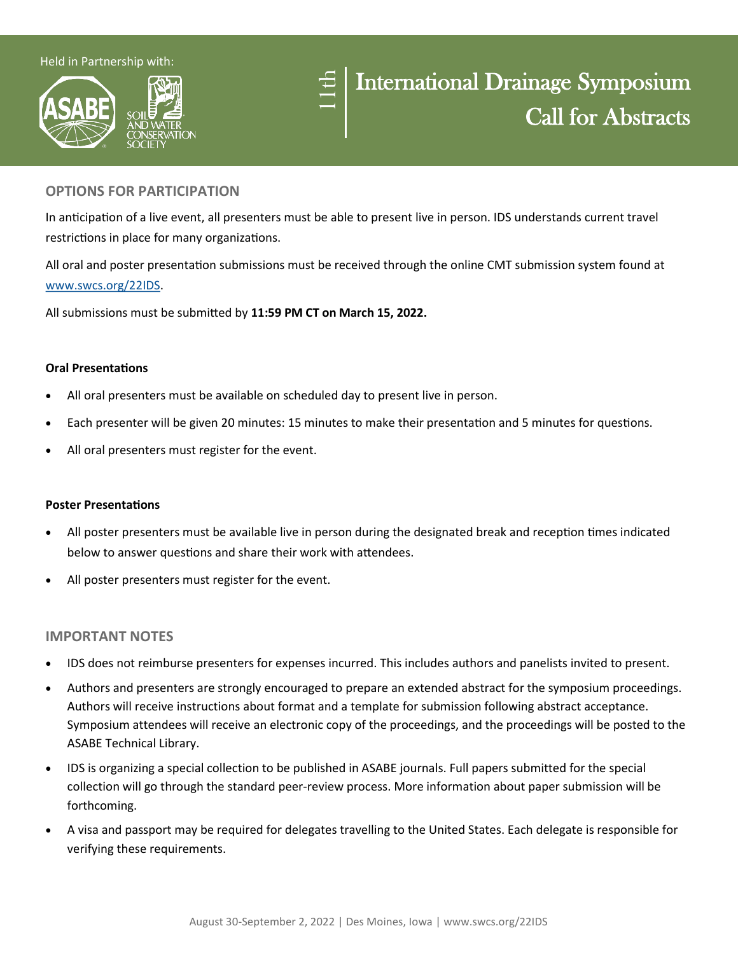#### Held in Partnership with:





### **OPTIONS FOR PARTICIPATION**

In anticipation of a live event, all presenters must be able to present live in person. IDS understands current travel restrictions in place for many organizations.

All oral and poster presentation submissions must be received through the online CMT submission system found at [www.swcs.org/22IDS.](http://www.swcs.org/22IDS)

All submissions must be submitted by **11:59 PM CT on March 15, 2022.** 

#### **Oral Presentations**

- All oral presenters must be available on scheduled day to present live in person.
- Each presenter will be given 20 minutes: 15 minutes to make their presentation and 5 minutes for questions.
- All oral presenters must register for the event.

#### **Poster Presentations**

- All poster presenters must be available live in person during the designated break and reception times indicated below to answer questions and share their work with attendees.
- All poster presenters must register for the event.

#### **IMPORTANT NOTES**

- IDS does not reimburse presenters for expenses incurred. This includes authors and panelists invited to present.
- Authors and presenters are strongly encouraged to prepare an extended abstract for the symposium proceedings. Authors will receive instructions about format and a template for submission following abstract acceptance. Symposium attendees will receive an electronic copy of the proceedings, and the proceedings will be posted to the ASABE Technical Library.
- IDS is organizing a special collection to be published in ASABE journals. Full papers submitted for the special collection will go through the standard peer-review process. More information about paper submission will be forthcoming.
- A visa and passport may be required for delegates travelling to the United States. Each delegate is responsible for verifying these requirements.